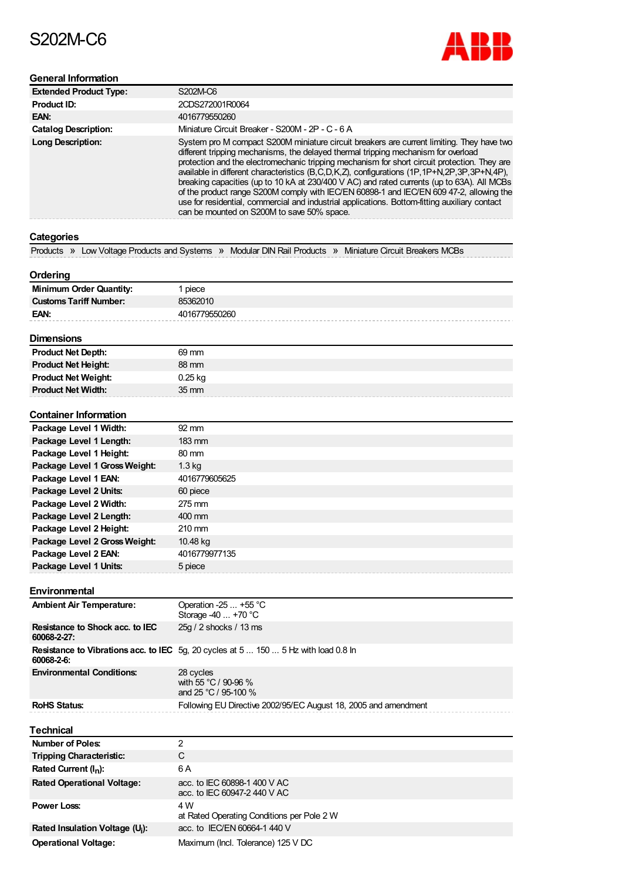# S202M-C6



# **General Information**

| <b>Extended Product Type:</b> | S202M-C6                                                                                                                                                                                                                                                                                                                                                                                                                                                                                                                                                                                                                                                                                                               |
|-------------------------------|------------------------------------------------------------------------------------------------------------------------------------------------------------------------------------------------------------------------------------------------------------------------------------------------------------------------------------------------------------------------------------------------------------------------------------------------------------------------------------------------------------------------------------------------------------------------------------------------------------------------------------------------------------------------------------------------------------------------|
| Product ID:                   | 2CDS272001R0064                                                                                                                                                                                                                                                                                                                                                                                                                                                                                                                                                                                                                                                                                                        |
| EAN:                          | 4016779550260                                                                                                                                                                                                                                                                                                                                                                                                                                                                                                                                                                                                                                                                                                          |
| <b>Catalog Description:</b>   | Miniature Circuit Breaker - S200M - 2P - C - 6 A                                                                                                                                                                                                                                                                                                                                                                                                                                                                                                                                                                                                                                                                       |
| <b>Long Description:</b>      | System pro M compact S200M miniature circuit breakers are current limiting. They have two<br>different tripping mechanisms, the delayed thermal tripping mechanism for overload<br>protection and the electromechanic tripping mechanism for short circuit protection. They are<br>available in different characteristics (B,C,D,K,Z), configurations (1P,1P+N,2P,3P,3P+N,4P),<br>breaking capacities (up to 10 kA at 230/400 V AC) and rated currents (up to 63A). All MCBs<br>of the product range S200M comply with IEC/EN 60898-1 and IEC/EN 609 47-2, allowing the<br>use for residential, commercial and industrial applications. Bottom-fitting auxiliary contact<br>can be mounted on S200M to save 50% space. |

# **Categories**

Products » Low Voltage Products and Systems » Modular DIN Rail Products » Miniature Circuit Breakers MCBs

### **Ordering**

| <b>Minimum Order Quantity:</b> | piece         |
|--------------------------------|---------------|
| <b>Customs Tariff Number:</b>  | 85362010      |
| EAN:                           | 4016779550260 |
|                                |               |

# **Dimensions**

| <b>Product Net Depth:</b>  | 69 mm           |
|----------------------------|-----------------|
| <b>Product Net Height:</b> | 88 mm           |
| <b>Product Net Weight:</b> | $0.25$ kg       |
| <b>Product Net Width:</b>  | $35 \text{ mm}$ |

#### **Container Information**

| Package Level 1 Width:        | 92 mm             |
|-------------------------------|-------------------|
| Package Level 1 Length:       | $183 \text{ mm}$  |
| Package Level 1 Height:       | $80 \text{ mm}$   |
| Package Level 1 Gross Weight: | 1.3 <sub>kq</sub> |
| Package Level 1 EAN:          | 4016779605625     |
| Package Level 2 Units:        | 60 piece          |
| Package Level 2 Width:        | 275 mm            |
| Package Level 2 Length:       | 400 mm            |
| Package Level 2 Height:       | $210 \text{ mm}$  |
| Package Level 2 Gross Weight: | 10.48 kg          |
| Package Level 2 EAN:          | 4016779977135     |
| Package Level 1 Units:        | 5 piece           |

#### **Environmental**

| <b>Ambient Air Temperature:</b>                | Operation -25 $\dots$ +55 °C<br>Storage $-40+70$ °C                                        |
|------------------------------------------------|--------------------------------------------------------------------------------------------|
| Resistance to Shock acc. to IEC<br>60068-2-27: | 25g / 2 shocks / 13 ms                                                                     |
| 60068-2-6:                                     | <b>Resistance to Vibrations acc. to IEC</b> 5g, 20 cycles at 5  150  5 Hz with load 0.8 ln |
| <b>Environmental Conditions:</b>               | 28 cycles<br>with 55 °C / 90-96 %<br>and 25 °C / 95-100 %                                  |
| <b>RoHS Status:</b>                            | Following EU Directive 2002/95/EC August 18, 2005 and amendment                            |

#### **Technical**

| Number of Poles:                            | າ                                                            |
|---------------------------------------------|--------------------------------------------------------------|
| <b>Tripping Characteristic:</b>             | C                                                            |
| Rated Current $(I_n)$ :                     | 6 A                                                          |
| <b>Rated Operational Voltage:</b>           | acc. to IEC 60898-1 400 V AC<br>acc. to IEC 60947-2 440 V AC |
| <b>Power Loss:</b>                          | 4 W<br>at Rated Operating Conditions per Pole 2 W            |
| Rated Insulation Voltage (U <sub>i</sub> ): | acc. to IEC/EN 60664-1 440 V                                 |
| <b>Operational Voltage:</b>                 | Maximum (Incl. Tolerance) 125 V DC                           |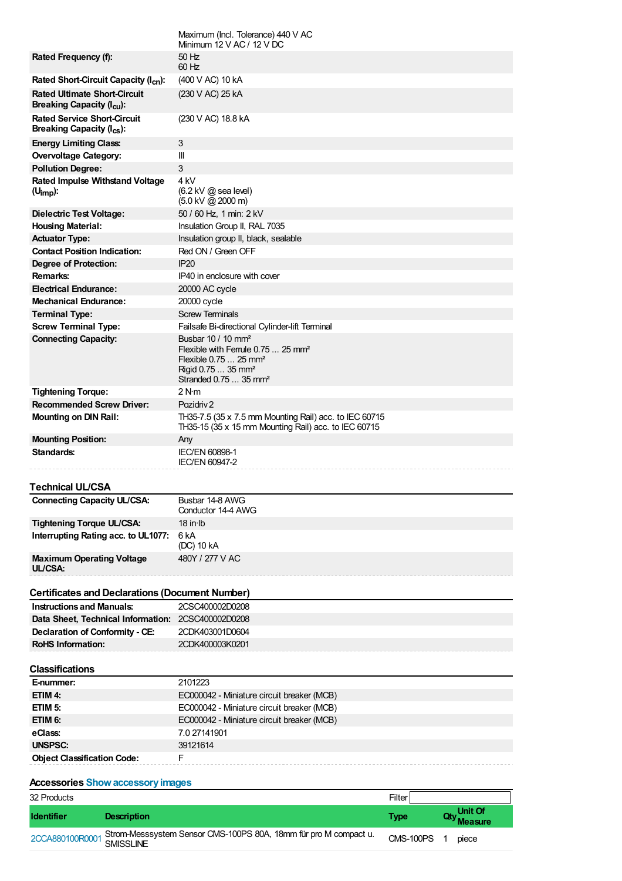|                                                                                   | Maximum (Incl. Tolerance) 440 V AC<br>Minimum $12$ V AC / $12$ V DC                                                                                                                           |             |         |
|-----------------------------------------------------------------------------------|-----------------------------------------------------------------------------------------------------------------------------------------------------------------------------------------------|-------------|---------|
| Rated Frequency (f):                                                              | $50$ Hz<br>$60$ Hz                                                                                                                                                                            |             |         |
| Rated Short-Circuit Capacity (I <sub>cn</sub> ):                                  | (400 V AC) 10 kA                                                                                                                                                                              |             |         |
| <b>Rated Ultimate Short-Circuit</b><br><b>Breaking Capacity (I<sub>cu</sub>):</b> | (230 V AC) 25 kA                                                                                                                                                                              |             |         |
| <b>Rated Service Short-Circuit</b><br>Breaking Capacity $(I_{cs})$ :              | (230 V AC) 18.8 kA                                                                                                                                                                            |             |         |
| <b>Energy Limiting Class:</b>                                                     | $\sqrt{3}$                                                                                                                                                                                    |             |         |
| <b>Overvoltage Category:</b>                                                      | Ш                                                                                                                                                                                             |             |         |
| <b>Pollution Degree:</b>                                                          | $\sqrt{3}$                                                                                                                                                                                    |             |         |
| <b>Rated Impulse Withstand Voltage</b><br>$(U_{\text{imp}})$ :                    | 4 kV<br>$(6.2 \text{ kV} \text{ @ sea level})$<br>$(5.0 \text{ kV} \textcircled{2} 2000 \text{ m})$                                                                                           |             |         |
| <b>Dielectric Test Voltage:</b>                                                   | 50 / 60 Hz, 1 min: 2 kV                                                                                                                                                                       |             |         |
| <b>Housing Material:</b>                                                          | Insulation Group II, RAL 7035                                                                                                                                                                 |             |         |
| <b>Actuator Type:</b>                                                             | Insulation group II, black, sealable                                                                                                                                                          |             |         |
| <b>Contact Position Indication:</b>                                               | Red ON / Green OFF                                                                                                                                                                            |             |         |
| <b>Degree of Protection:</b>                                                      | IP20                                                                                                                                                                                          |             |         |
| Remarks:                                                                          | IP40 in enclosure with cover                                                                                                                                                                  |             |         |
| <b>Electrical Endurance:</b>                                                      | 20000 AC cycle                                                                                                                                                                                |             |         |
| <b>Mechanical Endurance:</b>                                                      | 20000 cycle                                                                                                                                                                                   |             |         |
| <b>Terminal Type:</b>                                                             | <b>Screw Terminals</b>                                                                                                                                                                        |             |         |
| <b>Screw Terminal Type:</b>                                                       | Failsafe Bi-directional Cylinder-lift Terminal                                                                                                                                                |             |         |
| <b>Connecting Capacity:</b>                                                       | Busbar 10 / 10 mm <sup>2</sup><br>Flexible with Ferrule $0.75$ 25 mm <sup>2</sup><br>Flexible 0.75  25 mm <sup>2</sup><br>Rigid 0.75  35 mm <sup>2</sup><br>Stranded 0.75  35 mm <sup>2</sup> |             |         |
| <b>Tightening Torque:</b>                                                         | 2 N·m                                                                                                                                                                                         |             |         |
| <b>Recommended Screw Driver:</b>                                                  | Pozidriy 2                                                                                                                                                                                    |             |         |
| <b>Mounting on DIN Rail:</b>                                                      | TH35-7.5 (35 x 7.5 mm Mounting Rail) acc. to IEC 60715                                                                                                                                        |             |         |
|                                                                                   | TH35-15 (35 x 15 mm Mounting Rail) acc. to IEC 60715                                                                                                                                          |             |         |
| <b>Mounting Position:</b>                                                         | Any                                                                                                                                                                                           |             |         |
| Standards:                                                                        | <b>IEC/EN 60898-1</b><br><b>IEC/EN 60947-2</b>                                                                                                                                                |             |         |
| Technical UL/CSA                                                                  |                                                                                                                                                                                               |             |         |
| <b>Connecting Capacity UL/CSA:</b>                                                | Busbar 14-8 AWG<br>Conductor 14-4 AWG                                                                                                                                                         |             |         |
| Tightening Torque UL/CSA:                                                         | $18$ in Ib                                                                                                                                                                                    |             |         |
| Interrupting Rating acc. to UL1077:                                               | 6 <sub>k</sub> A<br>(DC) 10 kA                                                                                                                                                                |             |         |
| <b>Maximum Operating Voltage</b><br>UL/CSA:                                       | 480Y / 277 V AC                                                                                                                                                                               |             |         |
| <b>Certificates and Declarations (Document Number)</b>                            |                                                                                                                                                                                               |             |         |
| <b>Instructions and Manuals:</b>                                                  | 2CSC400002D0208                                                                                                                                                                               |             |         |
| Data Sheet, Technical Information: 2CSC400002D0208                                |                                                                                                                                                                                               |             |         |
| Declaration of Conformity - CE:                                                   | 2CDK403001D0604                                                                                                                                                                               |             |         |
| <b>RoHS Information:</b>                                                          | 2CDK400003K0201                                                                                                                                                                               |             |         |
| <b>Classifications</b>                                                            |                                                                                                                                                                                               |             |         |
| E-nummer:                                                                         | 2101223                                                                                                                                                                                       |             |         |
| ETIM 4:                                                                           | EC000042 - Miniature circuit breaker (MCB)                                                                                                                                                    |             |         |
| ETIM 5:                                                                           | EC000042 - Miniature circuit breaker (MCB)                                                                                                                                                    |             |         |
| ETIM 6:                                                                           | EC000042 - Miniature circuit breaker (MCB)                                                                                                                                                    |             |         |
| eClass:                                                                           | 7.0 27141901                                                                                                                                                                                  |             |         |
| UNSPSC:                                                                           | 39121614                                                                                                                                                                                      |             |         |
| <b>Object Classification Code:</b>                                                | F                                                                                                                                                                                             |             |         |
|                                                                                   |                                                                                                                                                                                               |             |         |
| <b>Accessories Show accessory images</b>                                          |                                                                                                                                                                                               |             |         |
| 32 Products                                                                       |                                                                                                                                                                                               | Filter      |         |
|                                                                                   |                                                                                                                                                                                               |             |         |
| Identifier<br><b>Description</b>                                                  |                                                                                                                                                                                               | <b>Type</b> | Unit Of |

**Measure** [2CCA880100R0001](javascript:constructLinkToDetailPage() Strom-Messsystem Sensor CMS-100PS 80A, 18mm für pro M compact u. SMISSLINE CMS-100PS <sup>1</sup> piece